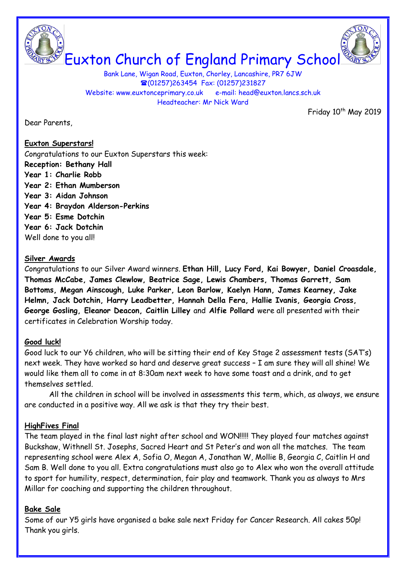



Euxton Church of England Primary School

Bank Lane, Wigan Road, Euxton, Chorley, Lancashire, PR7 6JW (01257)263454 Fax: (01257)231827 Website: www.euxtonceprimary.co.uk e-mail: [head@euxton.lancs.sch.uk](mailto:head@euxton.lancs.sch.uk) Headteacher: Mr Nick Ward

Dear Parents,

Friday 10<sup>th</sup> May 2019

### **Euxton Superstars!**

Congratulations to our Euxton Superstars this week: **Reception: Bethany Hall Year 1: Charlie Robb Year 2: Ethan Mumberson Year 3: Aidan Johnson Year 4: Braydon Alderson-Perkins Year 5: Esme Dotchin Year 6: Jack Dotchin** Well done to you all!

#### **Silver Awards**

Congratulations to our Silver Award winners. **Ethan Hill, Lucy Ford, Kai Bowyer, Daniel Croasdale, Thomas McCabe, James Clewlow, Beatrice Sage, Lewis Chambers, Thomas Garrett, Sam Bottoms, Megan Ainscough, Luke Parker, Leon Barlow, Kaelyn Hann, James Kearney, Jake Helmn, Jack Dotchin, Harry Leadbetter, Hannah Della Fera, Hallie Ivanis, Georgia Cross, George Gosling, Eleanor Deacon, Caitlin Lilley** and **Alfie Pollard** were all presented with their certificates in Celebration Worship today.

# **Good luck!**

Good luck to our Y6 children, who will be sitting their end of Key Stage 2 assessment tests (SAT's) next week. They have worked so hard and deserve great success – I am sure they will all shine! We would like them all to come in at 8:30am next week to have some toast and a drink, and to get themselves settled.

All the children in school will be involved in assessments this term, which, as always, we ensure are conducted in a positive way. All we ask is that they try their best.

# **HighFives Final**

The team played in the final last night after school and WON!!!!! They played four matches against Buckshaw, Withnell St. Josephs, Sacred Heart and St Peter's and won all the matches. The team representing school were Alex A, Sofia O, Megan A, Jonathan W, Mollie B, Georgia C, Caitlin H and Sam B. Well done to you all. Extra congratulations must also go to Alex who won the overall attitude to sport for humility, respect, determination, fair play and teamwork. Thank you as always to Mrs Millar for coaching and supporting the children throughout.

# **Bake Sale**

Some of our Y5 girls have organised a bake sale next Friday for Cancer Research. All cakes 50p! Thank you girls.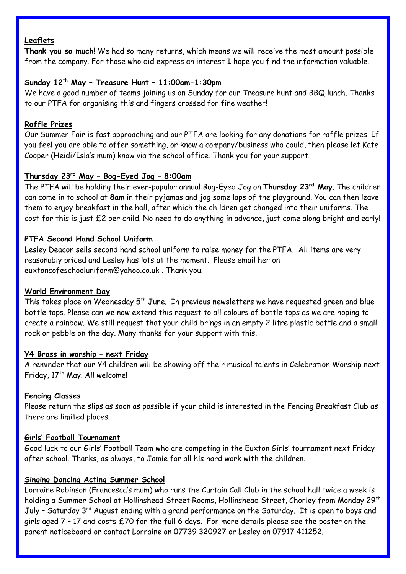# **Leaflets**

**Thank you so much!** We had so many returns, which means we will receive the most amount possible from the company. For those who did express an interest I hope you find the information valuable.

# **Sunday 12th May – Treasure Hunt – 11:00am-1:30pm**

We have a good number of teams joining us on Sunday for our Treasure hunt and BBQ lunch. Thanks to our PTFA for organising this and fingers crossed for fine weather!

# **Raffle Prizes**

Our Summer Fair is fast approaching and our PTFA are looking for any donations for raffle prizes. If you feel you are able to offer something, or know a company/business who could, then please let Kate Cooper (Heidi/Isla's mum) know via the school office. Thank you for your support.

# **Thursday 23rd May – Bog-Eyed Jog – 8:00am**

The PTFA will be holding their ever-popular annual Bog-Eyed Jog on **Thursday 23rd May**. The children can come in to school at **8am** in their pyjamas and jog some laps of the playground. You can then leave them to enjoy breakfast in the hall, after which the children get changed into their uniforms. The cost for this is just £2 per child. No need to do anything in advance, just come along bright and early!

#### **PTFA Second Hand School Uniform**

Lesley Deacon sells second hand school uniform to raise money for the PTFA. All items are very reasonably priced and Lesley has lots at the moment. Please email her on [euxtoncofeschooluniform@yahoo.co.uk](mailto:euxtoncofeschooluniform@yahoo.co.uk) . Thank you.

### **World Environment Day**

This takes place on Wednesday 5<sup>th</sup> June. In previous newsletters we have requested green and blue bottle tops. Please can we now extend this request to all colours of bottle tops as we are hoping to create a rainbow. We still request that your child brings in an empty 2 litre plastic bottle and a small rock or pebble on the day. Many thanks for your support with this.

#### **Y4 Brass in worship – next Friday**

A reminder that our Y4 children will be showing off their musical talents in Celebration Worship next Friday, 17<sup>th</sup> May. All welcome!

# **Fencing Classes**

Please return the slips as soon as possible if your child is interested in the Fencing Breakfast Club as there are limited places.

#### **Girls' Football Tournament**

Good luck to our Girls' Football Team who are competing in the Euxton Girls' tournament next Friday after school. Thanks, as always, to Jamie for all his hard work with the children.

# **Singing Dancing Acting Summer School**

Lorraine Robinson (Francesca's mum) who runs the Curtain Call Club in the school hall twice a week is holding a Summer School at Hollinshead Street Rooms, Hollinshead Street, Chorley from Monday 29<sup>th</sup> July - Saturday 3<sup>rd</sup> August ending with a grand performance on the Saturday. It is open to boys and girls aged 7 – 17 and costs £70 for the full 6 days. For more details please see the poster on the parent noticeboard or contact Lorraine on 07739 320927 or Lesley on 07917 411252.